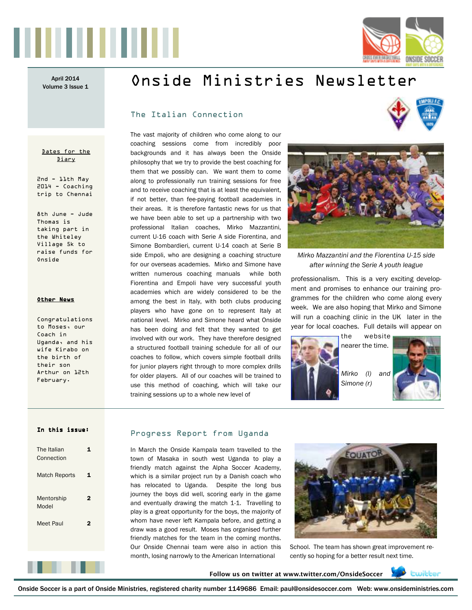



# April 2014 **Onside Ministries Newsletter**

# The Italian Connection

Dates for the Diary

2nd - 11th May 2014 - Coaching trip to Chennai

8th June - Jude Thomas is taking part in the Whiteley Village 5k to raise funds for Onside

#### Other News

Congratulations to Moses, our Coach in Uganda, and his wife Kirabo on the birth of their son Arthur on 12th February.

The vast majority of children who come along to our coaching sessions come from incredibly poor backgrounds and it has always been the Onside philosophy that we try to provide the best coaching for them that we possibly can. We want them to come along to professionally run training sessions for free and to receive coaching that is at least the equivalent, if not better, than fee-paying football academies in their areas. It is therefore fantastic news for us that we have been able to set up a partnership with two professional Italian coaches, Mirko Mazzantini, current U-16 coach with Serie A side Fiorentina, and Simone Bombardieri, current U-14 coach at Serie B side Empoli, who are designing a coaching structure for our overseas academies. Mirko and Simone have written numerous coaching manuals while both Fiorentina and Empoli have very successful youth academies which are widely considered to be the among the best in Italy, with both clubs producing players who have gone on to represent Italy at national level. Mirko and Simone heard what Onside has been doing and felt that they wanted to get involved with our work. They have therefore designed a structured football training schedule for all of our coaches to follow, which covers simple football drills for junior players right through to more complex drills for older players. All of our coaches will be trained to use this method of coaching, which will take our training sessions up to a whole new level of





*Mirko Mazzantini and the Fiorentina U-15 side after winning the Serie A youth league* 

professionalism. This is a very exciting development and promises to enhance our training programmes for the children who come along every week. We are also hoping that Mirko and Simone will run a coaching clinic in the UK later in the year for local coaches. Full details will appear on



*Mirko (l) and Simone (r)* 

#### In this issue:

| The Italian<br>Connection |   |
|---------------------------|---|
| <b>Match Reports</b>      | 1 |
| Mentorship<br>Model       | 2 |
| Meet Paul                 | 2 |
|                           |   |
|                           |   |
|                           |   |

### Progress Report from Uganda

In March the Onside Kampala team travelled to the town of Masaka in south west Uganda to play a friendly match against the Alpha Soccer Academy, which is a similar project run by a Danish coach who has relocated to Uganda. Despite the long bus journey the boys did well, scoring early in the game and eventually drawing the match 1-1. Travelling to play is a great opportunity for the boys, the majority of whom have never left Kampala before, and getting a draw was a good result. Moses has organised further friendly matches for the team in the coming months. Our Onside Chennai team were also in action this month, losing narrowly to the American International



School. The team has shown great improvement recently so hoping for a better result next time.

**Follow us on twitter at www.twitter.com/OnsideSoccer** 



Onside Soccer is a part of Onside Ministries, registered charity number 1149686 Email: paul@onsidesoccer.com Web: www.onsideministries.com